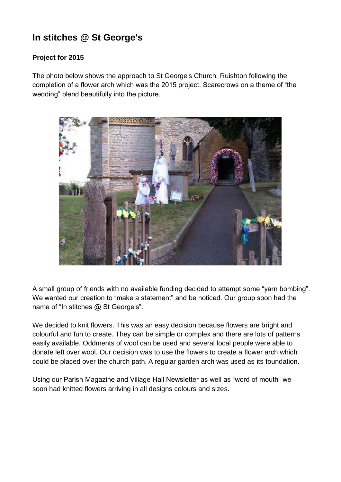# **In stitches @ St George's**

## **Project for 2015**

The photo below shows the approach to St George's Church, Ruishton following the completion of a flower arch which was the 2015 project. Scarecrows on a theme of "the wedding" blend beautifully into the picture.



A small group of friends with no available funding decided to attempt some "yarn bombing". We wanted our creation to "make a statement" and be noticed. Our group soon had the name of "In stitches @ St George's".

We decided to knit flowers. This was an easy decision because flowers are bright and colourful and fun to create. They can be simple or complex and there are lots of patterns easily available. Oddments of wool can be used and several local people were able to donate left over wool. Our decision was to use the flowers to create a flower arch which could be placed over the church path. A regular garden arch was used as its foundation.

Using our Parish Magazine and Village Hall Newsletter as well as "word of mouth" we soon had knitted flowers arriving in all designs colours and sizes.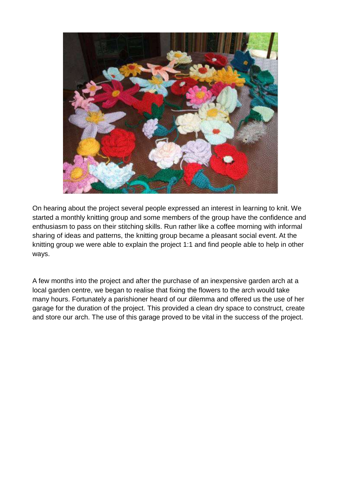

On hearing about the project several people expressed an interest in learning to knit. We started a monthly knitting group and some members of the group have the confidence and enthusiasm to pass on their stitching skills. Run rather like a coffee morning with informal sharing of ideas and patterns, the knitting group became a pleasant social event. At the knitting group we were able to explain the project 1:1 and find people able to help in other ways.

A few months into the project and after the purchase of an inexpensive garden arch at a local garden centre, we began to realise that fixing the flowers to the arch would take many hours. Fortunately a parishioner heard of our dilemma and offered us the use of her garage for the duration of the project. This provided a clean dry space to construct, create and store our arch. The use of this garage proved to be vital in the success of the project.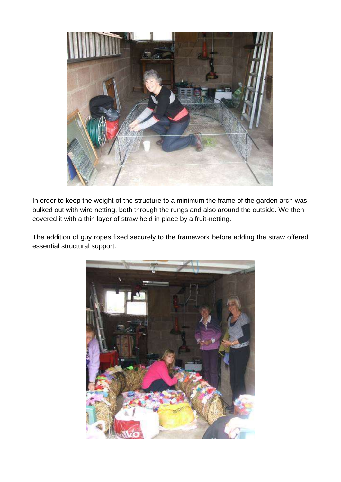

In order to keep the weight of the structure to a minimum the frame of the garden arch was bulked out with wire netting, both through the rungs and also around the outside. We then covered it with a thin layer of straw held in place by a fruit-netting.

The addition of guy ropes fixed securely to the framework before adding the straw offered essential structural support.

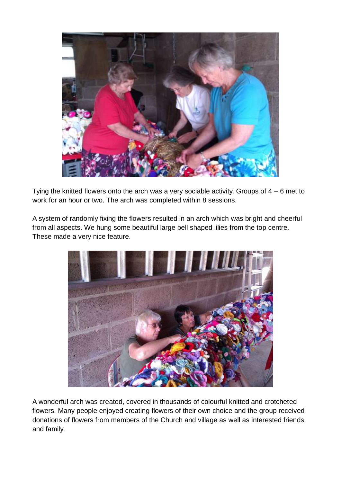

Tying the knitted flowers onto the arch was a very sociable activity. Groups of 4 – 6 met to work for an hour or two. The arch was completed within 8 sessions.

A system of randomly fixing the flowers resulted in an arch which was bright and cheerful from all aspects. We hung some beautiful large bell shaped lilies from the top centre. These made a very nice feature.



A wonderful arch was created, covered in thousands of colourful knitted and crotcheted flowers. Many people enjoyed creating flowers of their own choice and the group received donations of flowers from members of the Church and village as well as interested friends and family.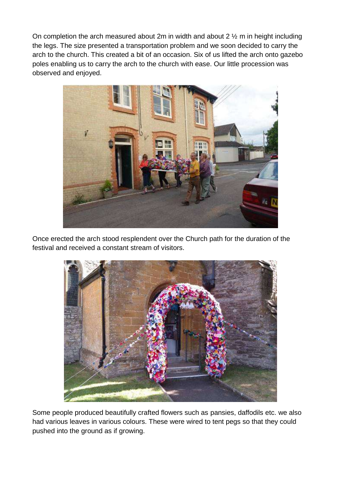On completion the arch measured about 2m in width and about  $2\frac{1}{2}$  m in height including the legs. The size presented a transportation problem and we soon decided to carry the arch to the church. This created a bit of an occasion. Six of us lifted the arch onto gazebo poles enabling us to carry the arch to the church with ease. Our little procession was observed and enjoyed.



Once erected the arch stood resplendent over the Church path for the duration of the festival and received a constant stream of visitors.



Some people produced beautifully crafted flowers such as pansies, daffodils etc. we also had various leaves in various colours. These were wired to tent pegs so that they could pushed into the ground as if growing.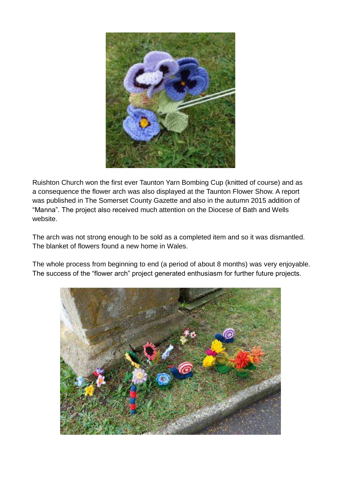

Ruishton Church won the first ever Taunton Yarn Bombing Cup (knitted of course) and as a consequence the flower arch was also displayed at the Taunton Flower Show. A report was published in The Somerset County Gazette and also in the autumn 2015 addition of "Manna". The project also received much attention on the Diocese of Bath and Wells website.

The arch was not strong enough to be sold as a completed item and so it was dismantled. The blanket of flowers found a new home in Wales.

The whole process from beginning to end (a period of about 8 months) was very enjoyable. The success of the "flower arch" project generated enthusiasm for further future projects.

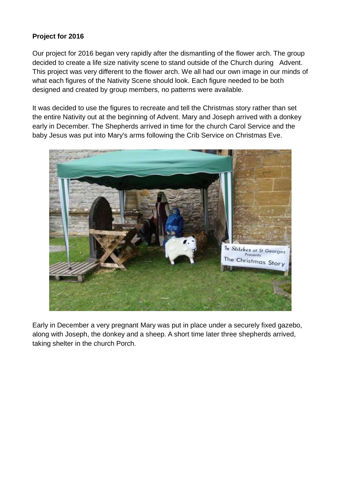### **Project for 2016**

Our project for 2016 began very rapidly after the dismantling of the flower arch. The group decided to create a life size nativity scene to stand outside of the Church during Advent. This project was very different to the flower arch. We all had our own image in our minds of what each figures of the Nativity Scene should look. Each figure needed to be both designed and created by group members, no patterns were available.

It was decided to use the figures to recreate and tell the Christmas story rather than set the entire Nativity out at the beginning of Advent. Mary and Joseph arrived with a donkey early in December. The Shepherds arrived in time for the church Carol Service and the baby Jesus was put into Mary's arms following the Crib Service on Christmas Eve.



Early in December a very pregnant Mary was put in place under a securely fixed gazebo, along with Joseph, the donkey and a sheep. A short time later three shepherds arrived, taking shelter in the church Porch.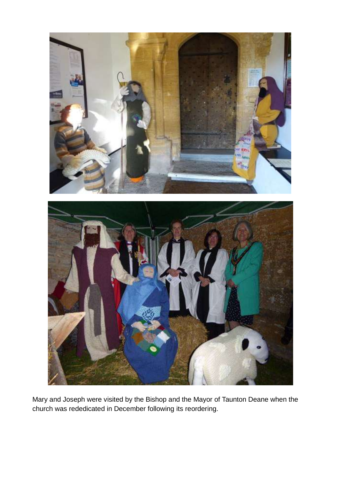



Mary and Joseph were visited by the Bishop and the Mayor of Taunton Deane when the church was rededicated in December following its reordering.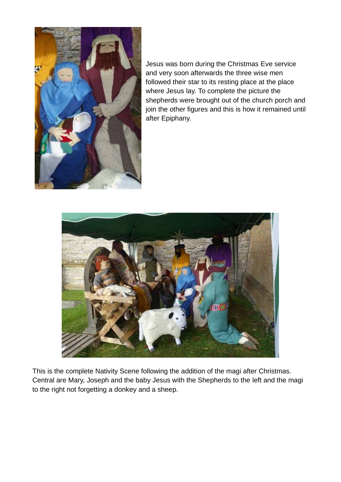

Jesus was born during the Christmas Eve service and very soon afterwards the three wise men followed their star to its resting place at the place where Jesus lay. To complete the picture the shepherds were brought out of the church porch and join the other figures and this is how it remained until after Epiphany.



This is the complete Nativity Scene following the addition of the magi after Christmas. Central are Mary, Joseph and the baby Jesus with the Shepherds to the left and the magi to the right not forgetting a donkey and a sheep.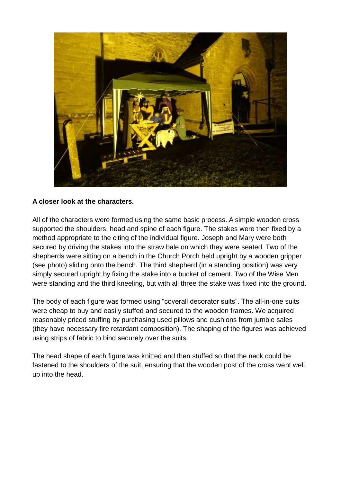

#### **A closer look at the characters.**

All of the characters were formed using the same basic process. A simple wooden cross supported the shoulders, head and spine of each figure. The stakes were then fixed by a method appropriate to the citing of the individual figure. Joseph and Mary were both secured by driving the stakes into the straw bale on which they were seated. Two of the shepherds were sitting on a bench in the Church Porch held upright by a wooden gripper (see photo) sliding onto the bench. The third shepherd (in a standing position) was very simply secured upright by fixing the stake into a bucket of cement. Two of the Wise Men were standing and the third kneeling, but with all three the stake was fixed into the ground.

The body of each figure was formed using "coverall decorator suits". The all-in-one suits were cheap to buy and easily stuffed and secured to the wooden frames. We acquired reasonably priced stuffing by purchasing used pillows and cushions from jumble sales (they have necessary fire retardant composition). The shaping of the figures was achieved using strips of fabric to bind securely over the suits.

The head shape of each figure was knitted and then stuffed so that the neck could be fastened to the shoulders of the suit, ensuring that the wooden post of the cross went well up into the head.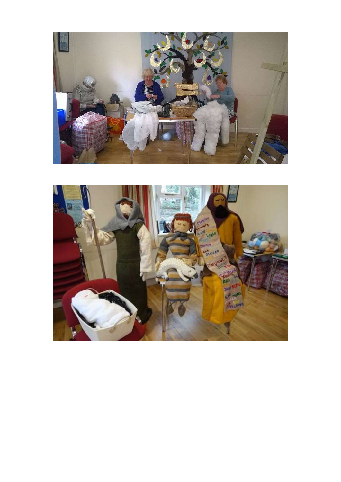

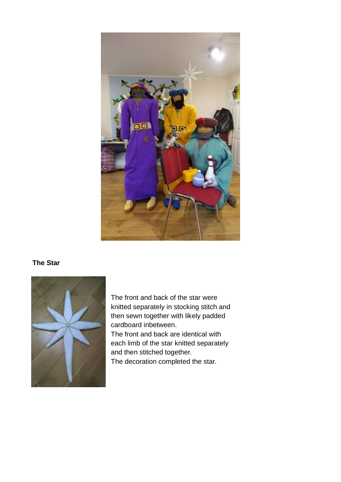

## **The Star**



The front and back of the star were knitted separately in stocking stitch and then sewn together with likely padded cardboard inbetween. The front and back are identical with

each limb of the star knitted separately and then stitched together. The decoration completed the star.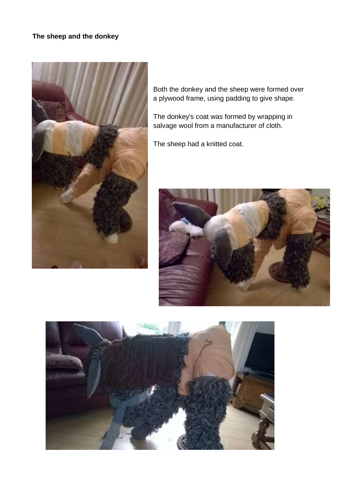## **The sheep and the donkey**



Both the donkey and the sheep were formed over a plywood frame, using padding to give shape.

The donkey's coat was formed by wrapping in salvage wool from a manufacturer of cloth.

The sheep had a knitted coat.